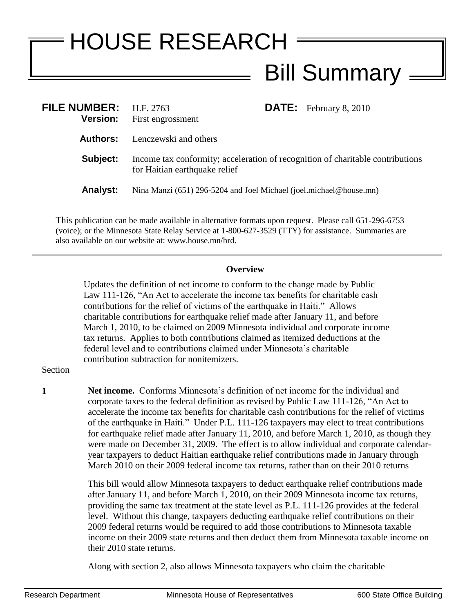## HOUSE RESEARCH Bill Summary =

| FILE NUMBER: H.F. 2763<br><b>Version:</b> | First engrossment                                                                                               |  | <b>DATE:</b> February 8, 2010 |
|-------------------------------------------|-----------------------------------------------------------------------------------------------------------------|--|-------------------------------|
| Authors:                                  | Lenczewski and others                                                                                           |  |                               |
| Subject:                                  | Income tax conformity; acceleration of recognition of charitable contributions<br>for Haitian earthquake relief |  |                               |
| <b>Analyst:</b>                           | Nina Manzi (651) 296-5204 and Joel Michael (joel.michael@house.mn)                                              |  |                               |
|                                           |                                                                                                                 |  |                               |

This publication can be made available in alternative formats upon request. Please call 651-296-6753 (voice); or the Minnesota State Relay Service at 1-800-627-3529 (TTY) for assistance. Summaries are also available on our website at: www.house.mn/hrd.

## **Overview**

Updates the definition of net income to conform to the change made by Public Law 111-126, "An Act to accelerate the income tax benefits for charitable cash contributions for the relief of victims of the earthquake in Haiti." Allows charitable contributions for earthquake relief made after January 11, and before March 1, 2010, to be claimed on 2009 Minnesota individual and corporate income tax returns. Applies to both contributions claimed as itemized deductions at the federal level and to contributions claimed under Minnesota's charitable contribution subtraction for nonitemizers.

## Section

**1 Net income.** Conforms Minnesota's definition of net income for the individual and corporate taxes to the federal definition as revised by Public Law 111-126, "An Act to accelerate the income tax benefits for charitable cash contributions for the relief of victims of the earthquake in Haiti." Under P.L. 111-126 taxpayers may elect to treat contributions for earthquake relief made after January 11, 2010, and before March 1, 2010, as though they were made on December 31, 2009. The effect is to allow individual and corporate calendaryear taxpayers to deduct Haitian earthquake relief contributions made in January through March 2010 on their 2009 federal income tax returns, rather than on their 2010 returns

> This bill would allow Minnesota taxpayers to deduct earthquake relief contributions made after January 11, and before March 1, 2010, on their 2009 Minnesota income tax returns, providing the same tax treatment at the state level as P.L. 111-126 provides at the federal level. Without this change, taxpayers deducting earthquake relief contributions on their 2009 federal returns would be required to add those contributions to Minnesota taxable income on their 2009 state returns and then deduct them from Minnesota taxable income on their 2010 state returns.

Along with section 2, also allows Minnesota taxpayers who claim the charitable